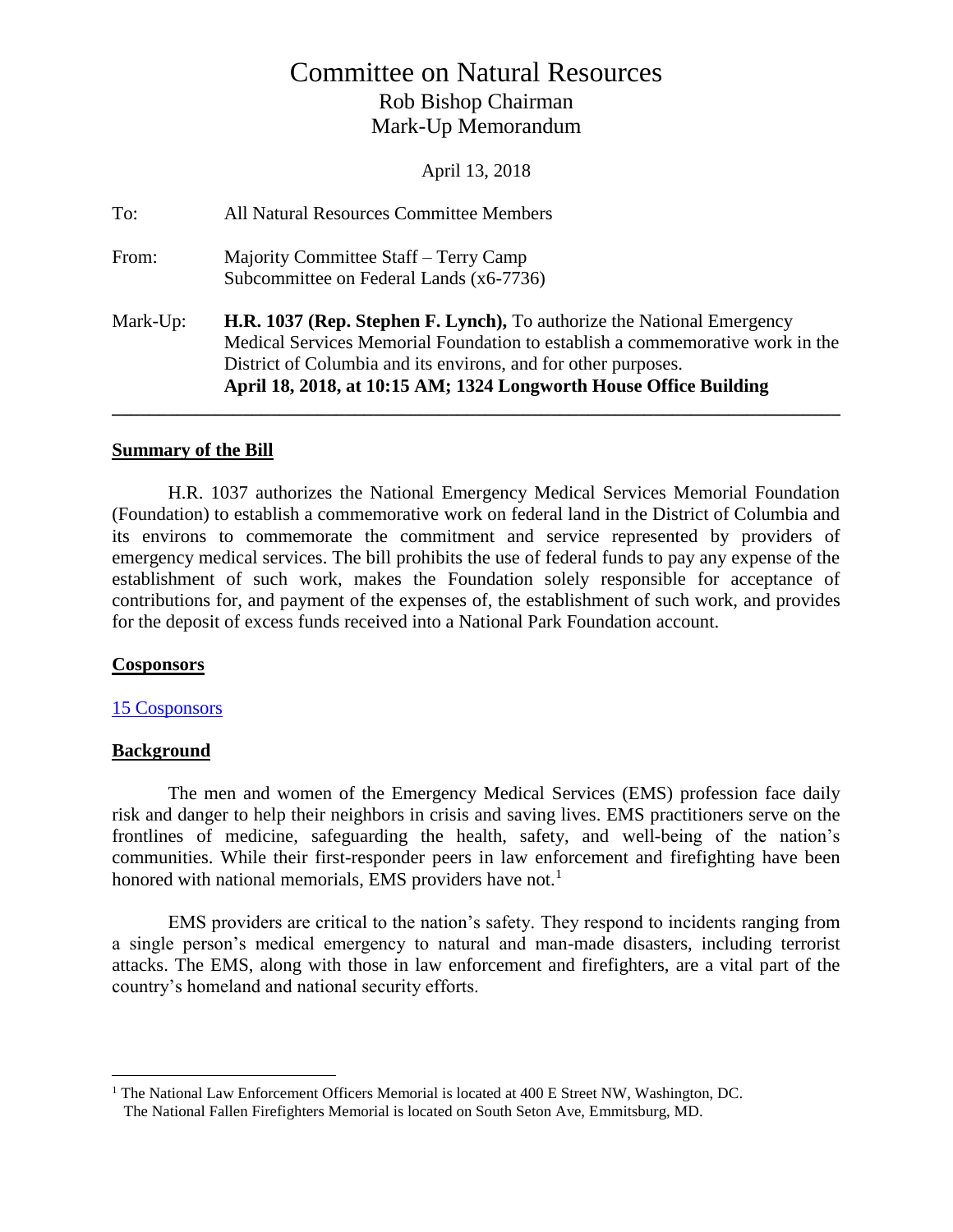## Committee on Natural Resources Rob Bishop Chairman Mark-Up Memorandum

April 13, 2018

| To:      | All Natural Resources Committee Members                                                                                                                                                                                                                                                        |
|----------|------------------------------------------------------------------------------------------------------------------------------------------------------------------------------------------------------------------------------------------------------------------------------------------------|
| From:    | Majority Committee Staff – Terry Camp<br>Subcommittee on Federal Lands (x6-7736)                                                                                                                                                                                                               |
| Mark-Up: | H.R. 1037 (Rep. Stephen F. Lynch), To authorize the National Emergency<br>Medical Services Memorial Foundation to establish a commemorative work in the<br>District of Columbia and its environs, and for other purposes.<br>April 18, 2018, at 10:15 AM; 1324 Longworth House Office Building |

#### **Summary of the Bill**

H.R. 1037 authorizes the National Emergency Medical Services Memorial Foundation (Foundation) to establish a commemorative work on federal land in the District of Columbia and its environs to commemorate the commitment and service represented by providers of emergency medical services. The bill prohibits the use of federal funds to pay any expense of the establishment of such work, makes the Foundation solely responsible for acceptance of contributions for, and payment of the expenses of, the establishment of such work, and provides for the deposit of excess funds received into a National Park Foundation account.

#### **Cosponsors**

#### [15 Cosponsors](https://www.congress.gov/bill/115th-congress/house-bill/1037/cosponsors?r=1)

#### **Background**

 $\overline{a}$ 

The men and women of the Emergency Medical Services (EMS) profession face daily risk and danger to help their neighbors in crisis and saving lives. EMS practitioners serve on the frontlines of medicine, safeguarding the health, safety, and well-being of the nation's communities. While their first-responder peers in law enforcement and firefighting have been honored with national memorials, EMS providers have not.<sup>1</sup>

EMS providers are critical to the nation's safety. They respond to incidents ranging from a single person's medical emergency to natural and man-made disasters, including terrorist attacks. The EMS, along with those in law enforcement and firefighters, are a vital part of the country's homeland and national security efforts.

<sup>&</sup>lt;sup>1</sup> The National Law Enforcement Officers Memorial is located at 400 E Street NW, Washington, DC.

The National Fallen Firefighters Memorial is located on South Seton Ave, Emmitsburg, MD.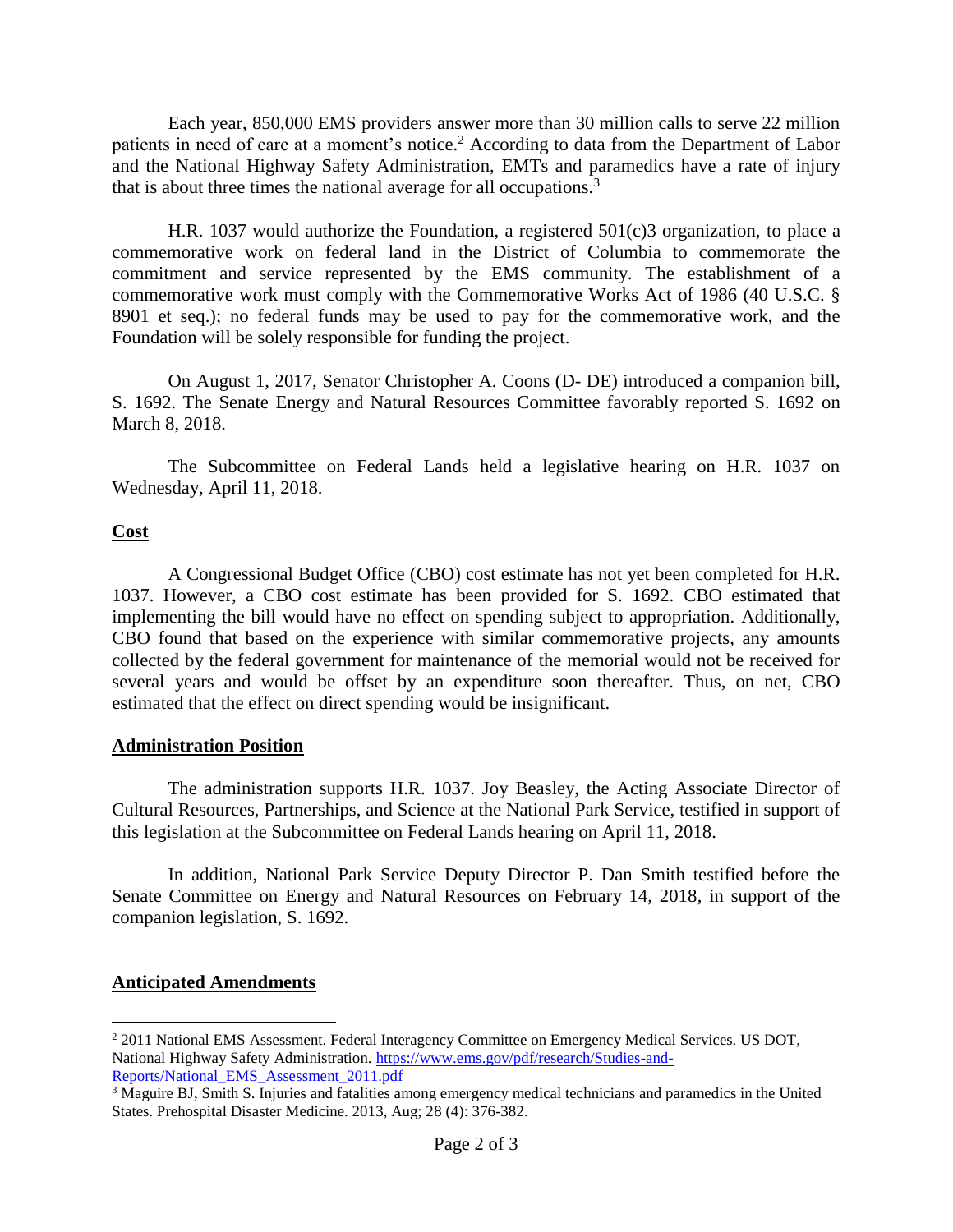Each year, 850,000 EMS providers answer more than 30 million calls to serve 22 million patients in need of care at a moment's notice.<sup>2</sup> According to data from the Department of Labor and the National Highway Safety Administration, EMTs and paramedics have a rate of injury that is about three times the national average for all occupations.<sup>3</sup>

H.R. 1037 would authorize the Foundation, a registered 501(c)3 organization, to place a commemorative work on federal land in the District of Columbia to commemorate the commitment and service represented by the EMS community. The establishment of a commemorative work must comply with the Commemorative Works Act of 1986 (40 U.S.C. § 8901 et seq.); no federal funds may be used to pay for the commemorative work, and the Foundation will be solely responsible for funding the project.

On August 1, 2017, Senator Christopher A. Coons (D- DE) introduced a companion bill, S. 1692. The Senate Energy and Natural Resources Committee favorably reported S. 1692 on March 8, 2018.

The Subcommittee on Federal Lands held a legislative hearing on H.R. 1037 on Wednesday, April 11, 2018.

### **Cost**

A Congressional Budget Office (CBO) cost estimate has not yet been completed for H.R. 1037. However, a CBO cost estimate has been provided for S. 1692. CBO estimated that implementing the bill would have no effect on spending subject to appropriation. Additionally, CBO found that based on the experience with similar commemorative projects, any amounts collected by the federal government for maintenance of the memorial would not be received for several years and would be offset by an expenditure soon thereafter. Thus, on net, CBO estimated that the effect on direct spending would be insignificant.

#### **Administration Position**

The administration supports H.R. 1037. Joy Beasley, the Acting Associate Director of Cultural Resources, Partnerships, and Science at the National Park Service, testified in support of this legislation at the Subcommittee on Federal Lands hearing on April 11, 2018.

In addition, National Park Service Deputy Director P. Dan Smith testified before the Senate Committee on Energy and Natural Resources on February 14, 2018, in support of the companion legislation, S. 1692.

### **Anticipated Amendments**

 $\overline{a}$ 

<sup>2</sup> 2011 National EMS Assessment. Federal Interagency Committee on Emergency Medical Services. US DOT, National Highway Safety Administration[. https://www.ems.gov/pdf/research/Studies-and-](https://www.ems.gov/pdf/research/Studies-and-Reports/National_EMS_Assessment_2011.pdf)[Reports/National\\_EMS\\_Assessment\\_2011.pdf](https://www.ems.gov/pdf/research/Studies-and-Reports/National_EMS_Assessment_2011.pdf) 

<sup>&</sup>lt;sup>3</sup> Maguire BJ, Smith S. Injuries and fatalities among emergency medical technicians and paramedics in the United States. Prehospital Disaster Medicine. 2013, Aug; 28 (4): 376-382.